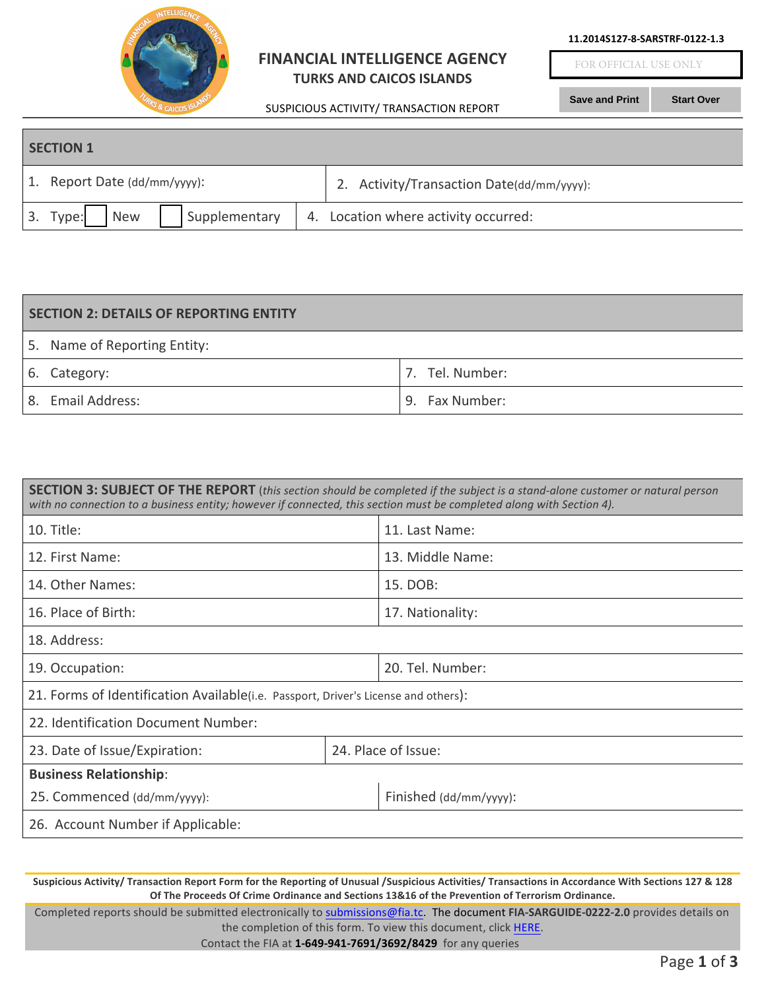

## **FINANCIAL INTELLIGENCE AGENCY TURKS AND CAICOS ISLANDS**

SUSPICIOUS ACTIVITY/ TRANSACTION REPORT

**11.2014S127-8-SARSTRF-0122-1.3**

FOR OFFICIAL USE ONLY

**Save and Print Start Over**

| <b>SECTION 1</b> |                                         |  |                                           |  |
|------------------|-----------------------------------------|--|-------------------------------------------|--|
|                  | 1. Report Date (dd/mm/yyyy):            |  | 2. Activity/Transaction Date(dd/mm/yyyy): |  |
|                  | 3. Type:<br>Supplementary<br><b>New</b> |  | 4. Location where activity occurred:      |  |

| <b>SECTION 2: DETAILS OF REPORTING ENTITY</b> |                 |  |
|-----------------------------------------------|-----------------|--|
| 5. Name of Reporting Entity:                  |                 |  |
| 6. Category:                                  | 7. Tel. Number: |  |
| 8. Email Address:                             | 9. Fax Number:  |  |

| SECTION 3: SUBJECT OF THE REPORT (this section should be completed if the subject is a stand-alone customer or natural person |  |  |
|-------------------------------------------------------------------------------------------------------------------------------|--|--|
| with no connection to a business entity; however if connected, this section must be completed along with Section 4).          |  |  |

| 10. Title:                                                                         |  | 11. Last Name:         |  |  |
|------------------------------------------------------------------------------------|--|------------------------|--|--|
| 12. First Name:                                                                    |  | 13. Middle Name:       |  |  |
| 14. Other Names:                                                                   |  | 15. DOB:               |  |  |
| 16. Place of Birth:                                                                |  | 17. Nationality:       |  |  |
| 18. Address:                                                                       |  |                        |  |  |
| 19. Occupation:                                                                    |  | 20. Tel. Number:       |  |  |
| 21. Forms of Identification Available(i.e. Passport, Driver's License and others): |  |                        |  |  |
| 22. Identification Document Number:                                                |  |                        |  |  |
| 23. Date of Issue/Expiration:                                                      |  | 24. Place of Issue:    |  |  |
| <b>Business Relationship:</b>                                                      |  |                        |  |  |
| 25. Commenced (dd/mm/yyyy):                                                        |  | Finished (dd/mm/yyyy): |  |  |
| 26. Account Number if Applicable:                                                  |  |                        |  |  |

Suspicious Activity/ Transaction Report Form for the Reporting of Unusual /Suspicious Activities/ Transactions in Accordance With Sections 127 & 128 **Of The Proceeds Of Crime Ordinance and Sections 13&16 of the Prevention of Terrorism Ordinance.**

Completed reports should be submitted electronically to submissions@fia.tc. The document **FIA-SARGUIDE-0222-2.0** provides details on the completion of this form. To view this document, click HERE.

Contact the FIA at 1-649-941-7691/3692/8429 for any queries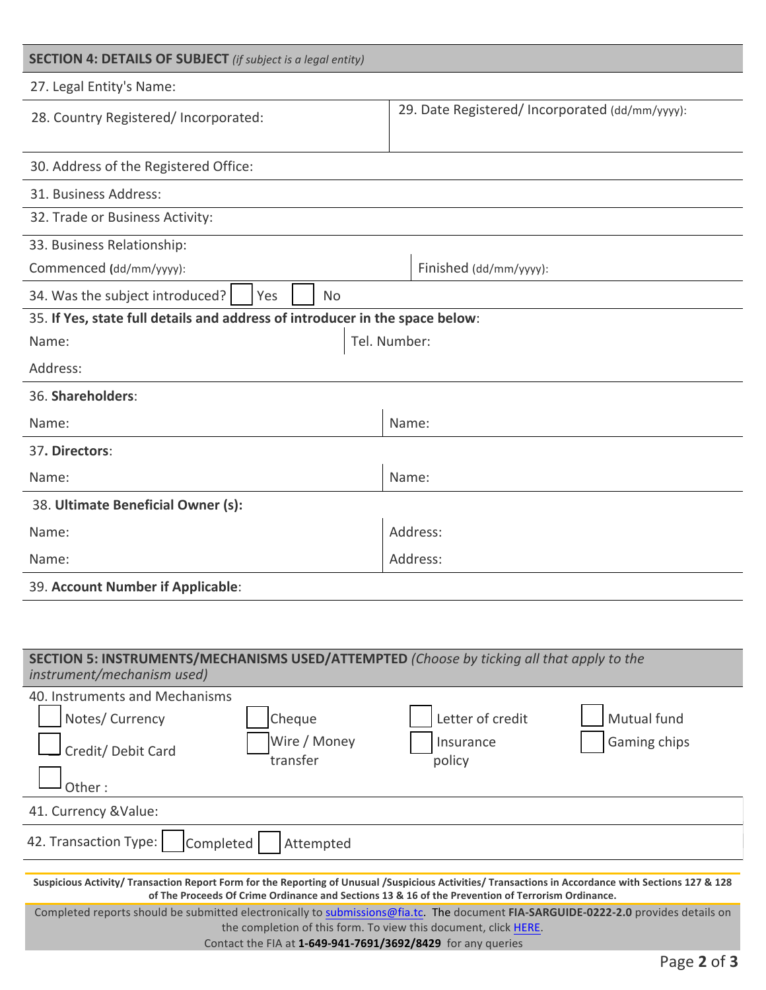| <b>SECTION 4: DETAILS OF SUBJECT</b> (if subject is a legal entity)          |                                                 |  |  |
|------------------------------------------------------------------------------|-------------------------------------------------|--|--|
| 27. Legal Entity's Name:                                                     |                                                 |  |  |
| 28. Country Registered/ Incorporated:                                        | 29. Date Registered/ Incorporated (dd/mm/yyyy): |  |  |
|                                                                              |                                                 |  |  |
| 30. Address of the Registered Office:                                        |                                                 |  |  |
| 31. Business Address:                                                        |                                                 |  |  |
| 32. Trade or Business Activity:                                              |                                                 |  |  |
| 33. Business Relationship:                                                   |                                                 |  |  |
| Commenced (dd/mm/yyyy):                                                      | Finished (dd/mm/yyyy):                          |  |  |
| 34. Was the subject introduced?<br>Yes<br><b>No</b>                          |                                                 |  |  |
| 35. If Yes, state full details and address of introducer in the space below: |                                                 |  |  |
| Name:                                                                        | Tel. Number:                                    |  |  |
| Address:                                                                     |                                                 |  |  |
| 36. Shareholders:                                                            |                                                 |  |  |
| Name:                                                                        | Name:                                           |  |  |
| 37. Directors:                                                               |                                                 |  |  |
| Name:                                                                        | Name:                                           |  |  |
| 38. Ultimate Beneficial Owner (s):                                           |                                                 |  |  |
| Name:                                                                        | Address:                                        |  |  |
| Name:                                                                        | Address:                                        |  |  |
| 39. Account Number if Applicable:                                            |                                                 |  |  |
|                                                                              |                                                 |  |  |

| SECTION 5: INSTRUMENTS/MECHANISMS USED/ATTEMPTED (Choose by ticking all that apply to the<br>instrument/mechanism used)                                                                                                                                              |  |  |
|----------------------------------------------------------------------------------------------------------------------------------------------------------------------------------------------------------------------------------------------------------------------|--|--|
| 40. Instruments and Mechanisms<br>Mutual fund<br>Notes/ Currency<br>Letter of credit<br>Cheque<br>Wire / Money<br>Gaming chips<br>Insurance<br>Credit/ Debit Card<br>transfer<br>policy<br>Other:                                                                    |  |  |
| 41. Currency & Value:                                                                                                                                                                                                                                                |  |  |
| 42. Transaction Type:<br>Completed<br>Attempted                                                                                                                                                                                                                      |  |  |
| Suspicious Activity/ Transaction Report Form for the Reporting of Unusual /Suspicious Activities/ Transactions in Accordance with Sections 127 & 128<br>of The Proceeds Of Crime Ordinance and Sections 13 & 16 of the Prevention of Terrorism Ordinance.            |  |  |
| Completed reports should be submitted electronically to submissions@fia.tc. The document FIA-SARGUIDE-0222-2.0 provides details on<br>the completion of this form. To view this document, click HERE.<br>Contact the FIA at 1-649-941-7691/3692/8429 for any queries |  |  |